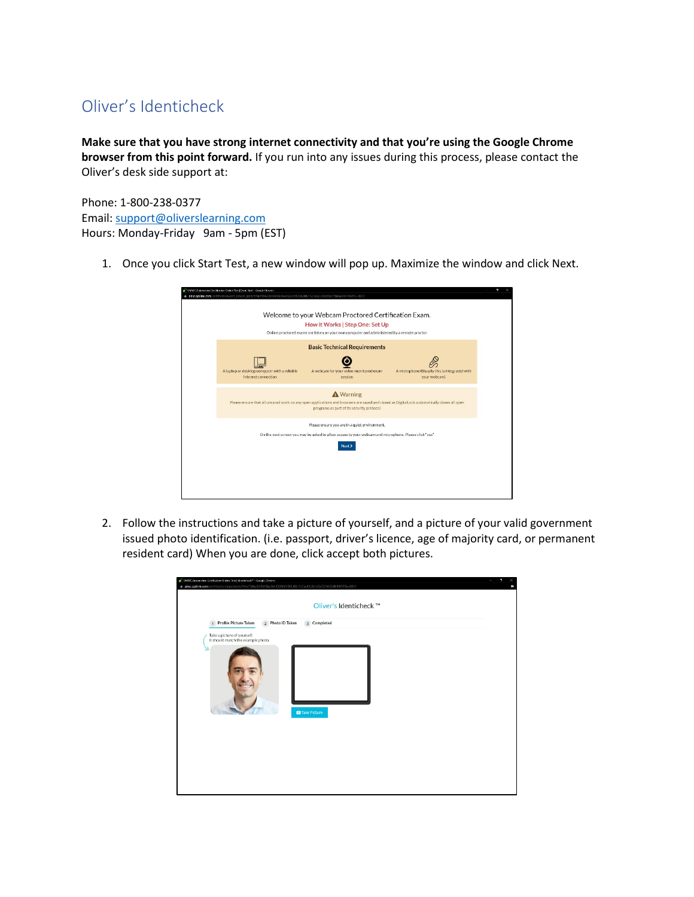## Oliver's Identicheck

**Make sure that you have strong internet connectivity and that you're using the Google Chrome browser from this point forward.** If you run into any issues during this process, please contact the Oliver's desk side support at:

Phone: 1-800-238-0377 Email: [support@oliverslearning.com](mailto:support@oliverslearning.com) Hours: Monday-Friday 9am - 5pm (EST)

1. Once you click Start Test, a new window will pop up. Maximize the window and click Next.

| <sup>3</sup> OMVIC Automotive Certification Online Test   Exem Start - Google Chrome<br>ii absc.opitink.com/certification/cert_ersam_start/Ymb/TW4vZdRMStac0xHOGNINVDRURUTSCox(2)2aFdDaTZIMGE4N1IRVT0=/8851  | P. |
|--------------------------------------------------------------------------------------------------------------------------------------------------------------------------------------------------------------|----|
| Welcome to your Webcam Proctored Certification Exam.<br>How it Works   Step One: Set Up<br>Online proctored exams are taken on your own computer and administered by a remote proctor                        |    |
| <b>Basic Technical Requirements</b>                                                                                                                                                                          |    |
| A microphone (Usually this is integrated with<br>A laptop or desktop computer with a reliable<br>A webcam for your video-monitored exam<br>Internet connection<br>session<br>your webcam)                    |    |
| <b>A</b> Warning<br>Please ensure that all unsaved work on any open applications and browsers are saved and closed as DigitalLock automatically closes all open<br>programs as part of its security protocol |    |
| Please ensure you are in a quiet environment.                                                                                                                                                                |    |
| On the next screen you may be asked to allow access to your webcam and microphone. Please click 'yes'<br>Next >                                                                                              |    |
|                                                                                                                                                                                                              |    |

2. Follow the instructions and take a picture of yourself, and a picture of your valid government issued photo identification. (i.e. passport, driver's licence, age of majority card, or permanent resident card) When you are done, click accept both pictures.

| OMVIC Automotive Certification Online Test   Identicheck <sup>es</sup> - Google Chrome<br># absc.opilink.com/certification/snapshots/YmlxTW4vZklRMStac0xHOGNhNDRURIUTSCsxK2J2aFdDaTZIMGE4N1IRVT0=/8851<br>Oliver's Identicheck ™ |  |
|----------------------------------------------------------------------------------------------------------------------------------------------------------------------------------------------------------------------------------|--|
| Profile Picture Taken<br>2 Photo ID Taken<br>3 Completed<br>Take a picture of yourself.<br>It should match the example photo.<br><b>C</b> Take Picture                                                                           |  |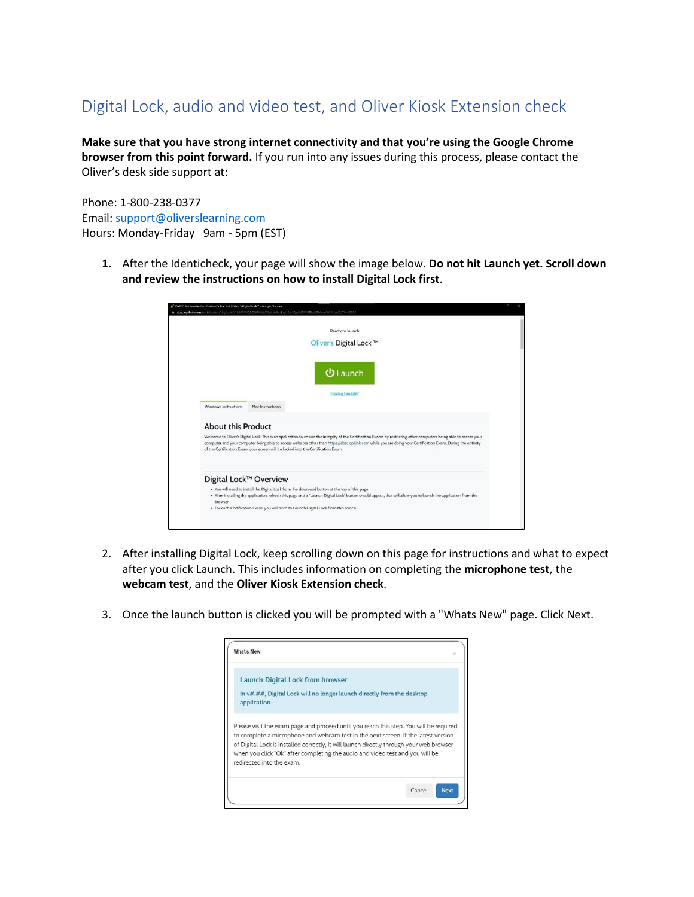## Digital Lock, audio and video test, and Oliver Kiosk Extension check

**Make sure that you have strong internet connectivity and that you're using the Google Chrome browser from this point forward.** If you run into any issues during this process, please contact the Oliver's desk side support at:

Phone: 1-800-238-0377 Email: [support@oliverslearning.com](mailto:support@oliverslearning.com) Hours: Monday-Friday 9am - 5pm (EST)

**1.** After the Identicheck, your page will show the image below. **Do not hit Launch yet. Scroll down and review the instructions on how to install Digital Lock first**.

|                      | OM IC Automotive Certification Online Test   Oliver's Dipital Lock <sup>es</sup> - Google Chrome<br>C3<br>a absc.opilink.com/certification/digilock/VUtMOWQ3ZIBRVIdkQ1pibkdhdkpjbEw1QzdNOW5RbzhSb0toYWhIUzd2UT0-/8851                                                                                                                                                                                                                                    |
|----------------------|----------------------------------------------------------------------------------------------------------------------------------------------------------------------------------------------------------------------------------------------------------------------------------------------------------------------------------------------------------------------------------------------------------------------------------------------------------|
|                      | Ready to launch<br>Oliver's Digital Lock ™                                                                                                                                                                                                                                                                                                                                                                                                               |
|                      | <b>少 Launch</b>                                                                                                                                                                                                                                                                                                                                                                                                                                          |
| Windows Instructions | <b>Having trouble?</b><br>Mac Instructions                                                                                                                                                                                                                                                                                                                                                                                                               |
|                      | <b>About this Product</b><br>Welcome to Oliver's Digital Lock. This is an application to ensure the integrity of the Certification Exams by restricting other computers being able to access your<br>computer and your computer being able to access websites other than https://absc.opilink.com while you are doing your Certification Exam. During the entirety<br>of the Certification Exam, your screen will be locked into the Certification Exam. |
| browser.             | Digital Lock™ Overview<br>. You will need to install the Digital Lock from the download button at the top of this page.<br>. After installing the application, refresh this page and a "Launch Digital Lock" button should appear, that will allow you to launch the application from the<br>. For each Certification Exam, you will need to Launch Digital Lock from this screen.                                                                       |

- 2. After installing Digital Lock, keep scrolling down on this page for instructions and what to expect after you click Launch. This includes information on completing the **microphone test**, the **webcam test**, and the **Oliver Kiosk Extension check**.
- 3. Once the launch button is clicked you will be prompted with a "Whats New" page. Click Next.

| <b>What's New</b>                                                                                                                                                                                                                                                                                                                                                                      | ×                     |
|----------------------------------------------------------------------------------------------------------------------------------------------------------------------------------------------------------------------------------------------------------------------------------------------------------------------------------------------------------------------------------------|-----------------------|
| <b>Launch Digital Lock from browser</b><br>In v#.##, Digital Lock will no longer launch directly from the desktop<br>application.                                                                                                                                                                                                                                                      |                       |
| Please visit the exam page and proceed until you reach this step. You will be required<br>to complete a microphone and webcam test in the next screen. If the latest version<br>of Digital Lock is installed correctly, it will launch directly through your web browser<br>when you click "Ok" after completing the audio and video test and you will be<br>redirected into the exam. |                       |
|                                                                                                                                                                                                                                                                                                                                                                                        | Cancel<br><b>Next</b> |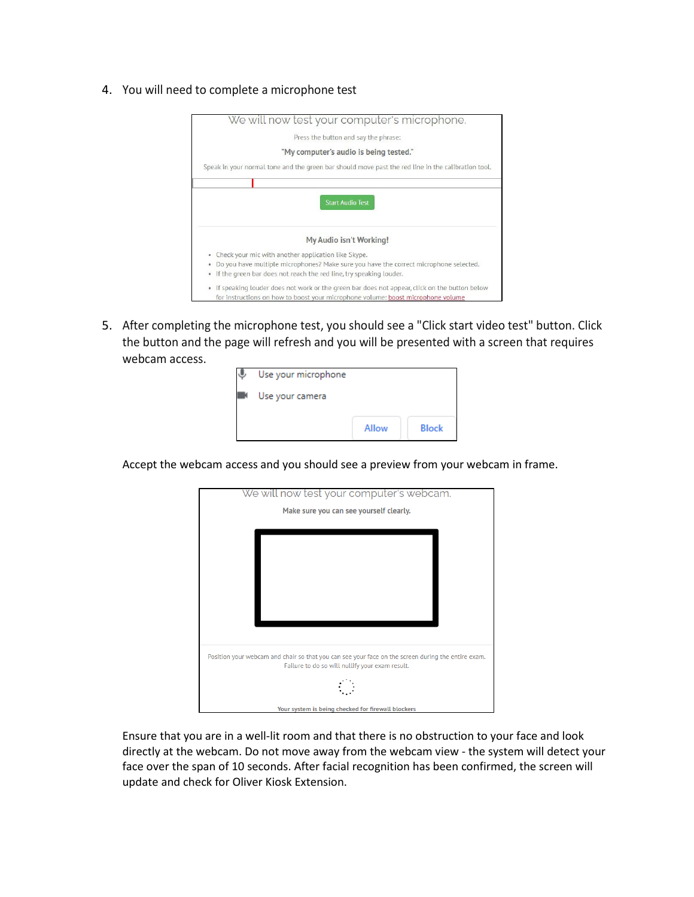4. You will need to complete a microphone test



5. After completing the microphone test, you should see a "Click start video test" button. Click the button and the page will refresh and you will be presented with a screen that requires webcam access.

| Use your microphone |       |              |
|---------------------|-------|--------------|
| Use your camera     |       |              |
|                     |       |              |
|                     | Allow | <b>Block</b> |

Accept the webcam access and you should see a preview from your webcam in frame.



Ensure that you are in a well-lit room and that there is no obstruction to your face and look directly at the webcam. Do not move away from the webcam view - the system will detect your face over the span of 10 seconds. After facial recognition has been confirmed, the screen will update and check for Oliver Kiosk Extension.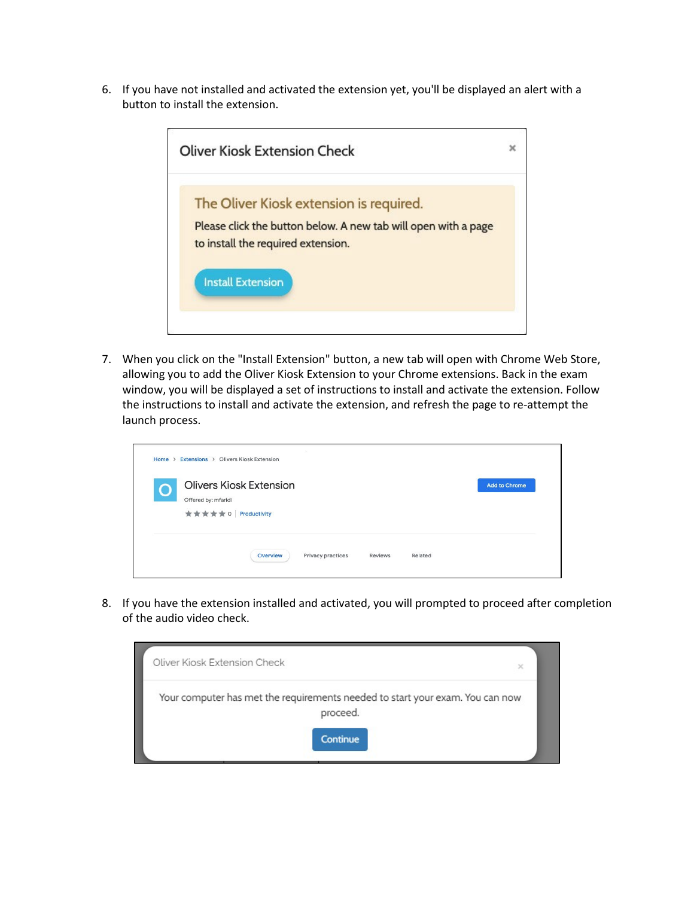6. If you have not installed and activated the extension yet, you'll be displayed an alert with a button to install the extension.



7. When you click on the "Install Extension" button, a new tab will open with Chrome Web Store, allowing you to add the Oliver Kiosk Extension to your Chrome extensions. Back in the exam window, you will be displayed a set of instructions to install and activate the extension. Follow the instructions to install and activate the extension, and refresh the page to re-attempt the launch process.

| 26<br>Home > Extensions > Olivers Kiosk Extension                                   |                      |
|-------------------------------------------------------------------------------------|----------------------|
| <b>Olivers Kiosk Extension</b><br>Offered by: mfaridi<br>★ ★ ★ ★ ★ 0   Productivity | <b>Add to Chrome</b> |
| Privacy practices<br>Related<br>Overview<br>Reviews                                 |                      |

8. If you have the extension installed and activated, you will prompted to proceed after completion of the audio video check.

| Oliver Kiosk Extension Check                                                              | $\times$ |
|-------------------------------------------------------------------------------------------|----------|
| Your computer has met the requirements needed to start your exam. You can now<br>proceed. |          |
| <b>Continue</b>                                                                           |          |